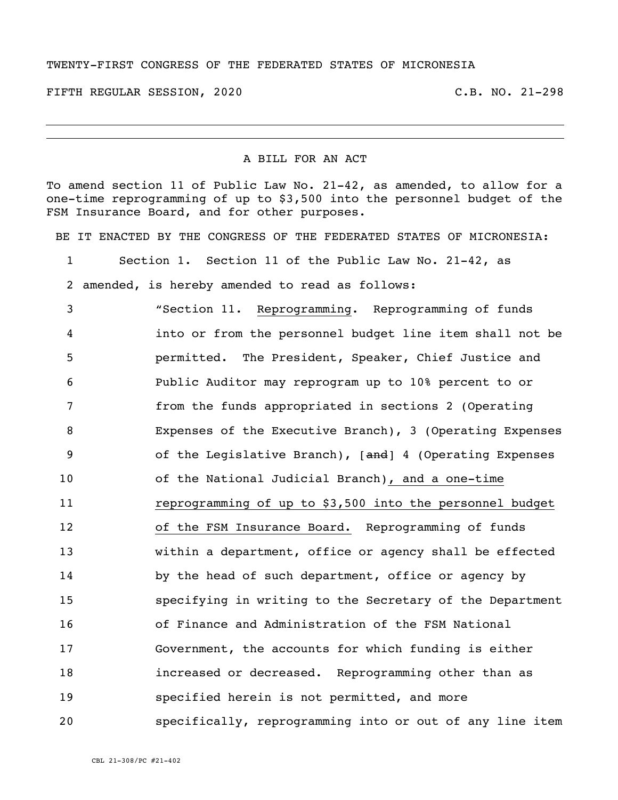## TWENTY-FIRST CONGRESS OF THE FEDERATED STATES OF MICRONESIA

FIFTH REGULAR SESSION, 2020 C.B. NO. 21-298

## A BILL FOR AN ACT

To amend section 11 of Public Law No. 21-42, as amended, to allow for a one-time reprogramming of up to \$3,500 into the personnel budget of the FSM Insurance Board, and for other purposes.

BE IT ENACTED BY THE CONGRESS OF THE FEDERATED STATES OF MICRONESIA:

Section 1. Section 11 of the Public Law No. 21-42, as

amended, is hereby amended to read as follows:

 "Section 11. Reprogramming. Reprogramming of funds into or from the personnel budget line item shall not be permitted. The President, Speaker, Chief Justice and Public Auditor may reprogram up to 10% percent to or from the funds appropriated in sections 2 (Operating Expenses of the Executive Branch), 3 (Operating Expenses 9 of the Legislative Branch), [and] 4 (Operating Expenses of the National Judicial Branch), and a one-time reprogramming of up to \$3,500 into the personnel budget of the FSM Insurance Board. Reprogramming of funds within a department, office or agency shall be effected 14 by the head of such department, office or agency by specifying in writing to the Secretary of the Department of Finance and Administration of the FSM National Government, the accounts for which funding is either increased or decreased. Reprogramming other than as specified herein is not permitted, and more specifically, reprogramming into or out of any line item